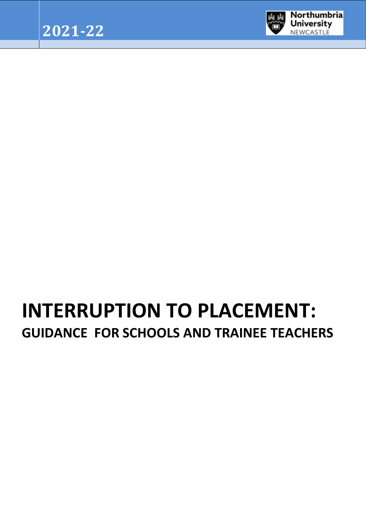

# **INTERRUPTION TO PLACEMENT: GUIDANCE FOR SCHOOLS AND TRAINEE TEACHERS**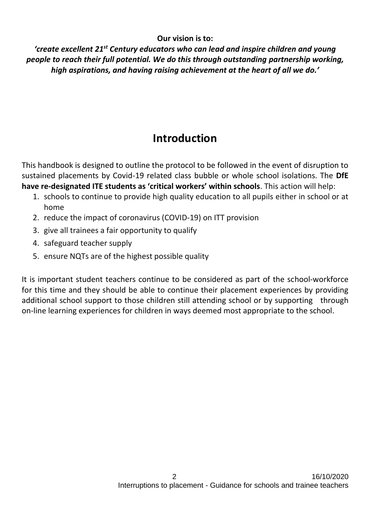#### **Our vision is to:**

*'create excellent 21st Century educators who can lead and inspire children and young people to reach their full potential. We do this through outstanding partnership working, high aspirations, and having raising achievement at the heart of all we do.'*

### **Introduction**

This handbook is designed to outline the protocol to be followed in the event of disruption to sustained placements by Covid-19 related class bubble or whole school isolations. The **DfE have re-designated ITE students as 'critical workers' within schools**. This action will help:

- 1. schools to continue to provide high quality education to all pupils either in school or at home
- 2. reduce the impact of coronavirus (COVID-19) on ITT provision
- 3. give all trainees a fair opportunity to qualify
- 4. safeguard teacher supply
- 5. ensure NQTs are of the highest possible quality

It is important student teachers continue to be considered as part of the school-workforce for this time and they should be able to continue their placement experiences by providing additional school support to those children still attending school or by supporting through on-line learning experiences for children in ways deemed most appropriate to the school.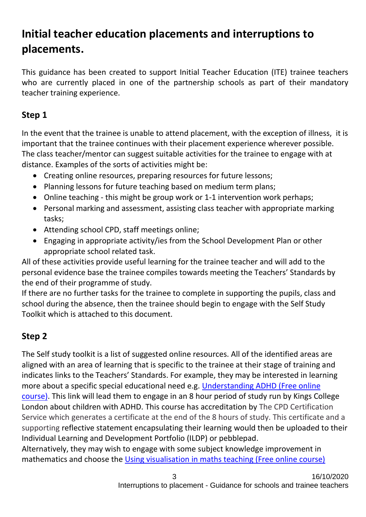## **Initial teacher education placements and interruptions to placements.**

This guidance has been created to support Initial Teacher Education (ITE) trainee teachers who are currently placed in one of the partnership schools as part of their mandatory teacher training experience.

#### **Step 1**

In the event that the trainee is unable to attend placement, with the exception of illness, it is important that the trainee continues with their placement experience wherever possible. The class teacher/mentor can suggest suitable activities for the trainee to engage with at distance. Examples of the sorts of activities might be:

- Creating online resources, preparing resources for future lessons;
- Planning lessons for future teaching based on medium term plans;
- Online teaching this might be group work or 1-1 intervention work perhaps;
- Personal marking and assessment, assisting class teacher with appropriate marking tasks;
- Attending school CPD, staff meetings online;
- Engaging in appropriate activity/ies from the School Development Plan or other appropriate school related task.

All of these activities provide useful learning for the trainee teacher and will add to the personal evidence base the trainee compiles towards meeting the Teachers' Standards by the end of their programme of study.

If there are no further tasks for the trainee to complete in supporting the pupils, class and school during the absence, then the trainee should begin to engage with the Self Study Toolkit which is attached to this document.

#### **Step 2**

The Self study toolkit is a list of suggested online resources. All of the identified areas are aligned with an area of learning that is specific to the trainee at their stage of training and indicates links to the Teachers' Standards. For example, they may be interested in learning more about a specific special educational need e.g. [Understanding ADHD \(Free online](https://eur02.safelinks.protection.outlook.com/?url=https%3A%2F%2Fwww.futurelearn.com%2Fcourses%2Funderstanding-adhd&data=02%7C01%7Ckaren.hudson%40northumbria.ac.uk%7C9e1eda381dae404c608808d7e9337a5c%7Ce757cfdd1f354457af8f7c9c6b1437e3%7C0%7C0%7C637234279613655462&sdata=0%2BQN28jAnyjWBoEJLswV85JY1qez2zGQOoT7wI1dMtc%3D&reserved=0)  [course\).](https://eur02.safelinks.protection.outlook.com/?url=https%3A%2F%2Fwww.futurelearn.com%2Fcourses%2Funderstanding-adhd&data=02%7C01%7Ckaren.hudson%40northumbria.ac.uk%7C9e1eda381dae404c608808d7e9337a5c%7Ce757cfdd1f354457af8f7c9c6b1437e3%7C0%7C0%7C637234279613655462&sdata=0%2BQN28jAnyjWBoEJLswV85JY1qez2zGQOoT7wI1dMtc%3D&reserved=0) This link will lead them to engage in an 8 hour period of study run by Kings College London about children with ADHD. This course has accreditation by The CPD Certification Service which generates a certificate at the end of the 8 hours of study. This certificate and a supporting reflective statement encapsulating their learning would then be uploaded to their Individual Learning and Development Portfolio (ILDP) or pebblepad.

Alternatively, they may wish to engage with some subject knowledge improvement in mathematics and choose the [Using visualisation in maths teaching \(Free online course\)](https://eur02.safelinks.protection.outlook.com/?url=https%3A%2F%2Fwww.open.edu%2Fopenlearn%2Feducation-development%2Fusing-visualisation-maths-teaching%2Fcontent-section-0%3Factive-tab%3Ddescription-tab&data=02%7C01%7Ckaren.hudson%40northumbria.ac.uk%7C3e0e37a707b543ae2a5508d7e9325add%7Ce757cfdd1f354457af8f7c9c6b1437e3%7C0%7C0%7C637234274793310269&sdata=d4vNIQjdOsDGHi4vLgjmwPohPKWMilR2czN9FXR2r%2Fg%3D&reserved=0)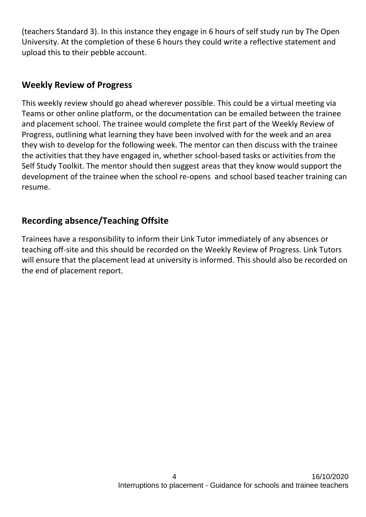(teachers Standard 3). In this instance they engage in 6 hours of self study run by The Open University. At the completion of these 6 hours they could write a reflective statement and upload this to their pebble account.

#### **Weekly Review of Progress**

This weekly review should go ahead wherever possible. This could be a virtual meeting via Teams or other online platform, or the documentation can be emailed between the trainee and placement school. The trainee would complete the first part of the Weekly Review of Progress, outlining what learning they have been involved with for the week and an area they wish to develop for the following week. The mentor can then discuss with the trainee the activities that they have engaged in, whether school-based tasks or activities from the Self Study Toolkit. The mentor should then suggest areas that they know would support the development of the trainee when the school re-opens and school based teacher training can resume.

#### **Recording absence/Teaching Offsite**

Trainees have a responsibility to inform their Link Tutor immediately of any absences or teaching off-site and this should be recorded on the Weekly Review of Progress. Link Tutors will ensure that the placement lead at university is informed. This should also be recorded on the end of placement report.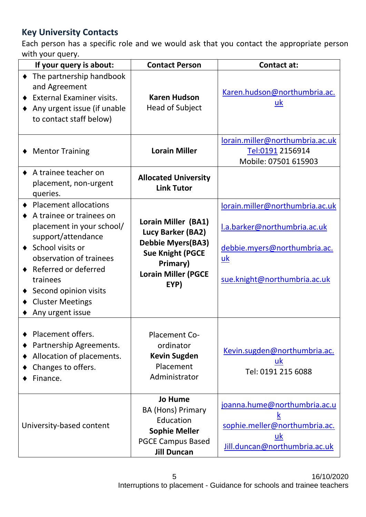#### **Key University Contacts**

Each person has a specific role and we would ask that you contact the appropriate person with your query.

| If your query is about:                                                                                                                                                                                                                                                  | <b>Contact Person</b>                                                                                                                              | <b>Contact at:</b>                                                                                                                        |
|--------------------------------------------------------------------------------------------------------------------------------------------------------------------------------------------------------------------------------------------------------------------------|----------------------------------------------------------------------------------------------------------------------------------------------------|-------------------------------------------------------------------------------------------------------------------------------------------|
| The partnership handbook<br>and Agreement<br><b>External Examiner visits.</b><br>Any urgent issue (if unable<br>to contact staff below)                                                                                                                                  | <b>Karen Hudson</b><br>Head of Subject                                                                                                             | Karen.hudson@northumbria.ac.<br>$\underline{\mathsf{u}}$                                                                                  |
| <b>Mentor Training</b>                                                                                                                                                                                                                                                   | <b>Lorain Miller</b>                                                                                                                               | lorain.miller@northumbria.ac.uk<br>Tel:0191 2156914<br>Mobile: 07501 615903                                                               |
| A trainee teacher on<br>placement, non-urgent<br>queries.                                                                                                                                                                                                                | <b>Allocated University</b><br><b>Link Tutor</b>                                                                                                   |                                                                                                                                           |
| <b>Placement allocations</b><br>A trainee or trainees on<br>placement in your school/<br>support/attendance<br>♦ School visits or<br>observation of trainees<br>Referred or deferred<br>trainees<br>Second opinion visits<br><b>Cluster Meetings</b><br>Any urgent issue | Lorain Miller (BA1)<br>Lucy Barker (BA2)<br><b>Debbie Myers (BA3)</b><br><b>Sue Knight (PGCE</b><br>Primary)<br><b>Lorain Miller (PGCE</b><br>EYP) | lorain.miller@northumbria.ac.uk<br>I.a.barker@northumbria.ac.uk<br>debbie.myers@northumbria.ac.<br>uk<br>sue.knight@northumbria.ac.uk     |
| Placement offers.<br>Partnership Agreements.<br>Allocation of placements.<br>Changes to offers.<br>Finance.                                                                                                                                                              | Placement Co-<br>ordinator<br><b>Kevin Sugden</b><br>Placement<br>Administrator                                                                    | Kevin.sugden@northumbria.ac.<br>uk<br>Tel: 0191 215 6088                                                                                  |
| University-based content                                                                                                                                                                                                                                                 | <b>Jo Hume</b><br><b>BA (Hons) Primary</b><br>Education<br><b>Sophie Meller</b><br><b>PGCE Campus Based</b><br><b>Jill Duncan</b>                  | joanna.hume@northumbria.ac.u<br>$\mathsf k$<br>sophie.meller@northumbria.ac.<br>$\underline{\mathsf{u}}$<br>Jill.duncan@northumbria.ac.uk |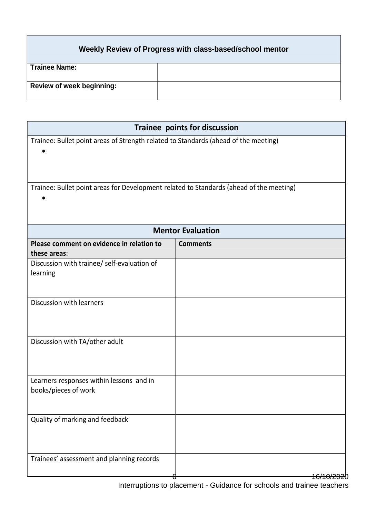#### **Weekly Review of Progress with class-based/school mentor**

| Trainee Name:                    |  |
|----------------------------------|--|
|                                  |  |
|                                  |  |
| <b>Review of week beginning:</b> |  |
|                                  |  |

| Trainee points for discussion                                                           |                 |
|-----------------------------------------------------------------------------------------|-----------------|
| Trainee: Bullet point areas of Strength related to Standards (ahead of the meeting)     |                 |
| Trainee: Bullet point areas for Development related to Standards (ahead of the meeting) |                 |
| <b>Mentor Evaluation</b>                                                                |                 |
| Please comment on evidence in relation to<br>these areas:                               | <b>Comments</b> |
| Discussion with trainee/ self-evaluation of<br>learning                                 |                 |
| Discussion with learners                                                                |                 |
| Discussion with TA/other adult                                                          |                 |
| Learners responses within lessons and in<br>books/pieces of work                        |                 |
| Quality of marking and feedback                                                         |                 |
| Trainees' assessment and planning records                                               |                 |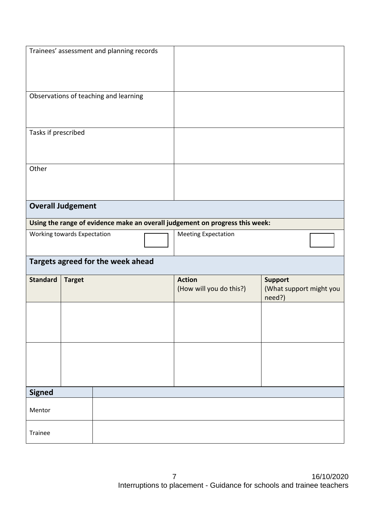|                     | Trainees' assessment and planning records |                                                                              |                                                     |
|---------------------|-------------------------------------------|------------------------------------------------------------------------------|-----------------------------------------------------|
|                     | Observations of teaching and learning     |                                                                              |                                                     |
| Tasks if prescribed |                                           |                                                                              |                                                     |
| Other               |                                           |                                                                              |                                                     |
|                     | <b>Overall Judgement</b>                  |                                                                              |                                                     |
|                     |                                           | Using the range of evidence make an overall judgement on progress this week: |                                                     |
|                     | Working towards Expectation               | <b>Meeting Expectation</b>                                                   |                                                     |
|                     | Targets agreed for the week ahead         |                                                                              |                                                     |
| <b>Standard</b>     | <b>Target</b>                             | <b>Action</b><br>(How will you do this?)                                     | <b>Support</b><br>(What support might you<br>need?) |
|                     |                                           |                                                                              |                                                     |
|                     |                                           |                                                                              |                                                     |
| <b>Signed</b>       |                                           |                                                                              |                                                     |
| Mentor              |                                           |                                                                              |                                                     |
| Trainee             |                                           |                                                                              |                                                     |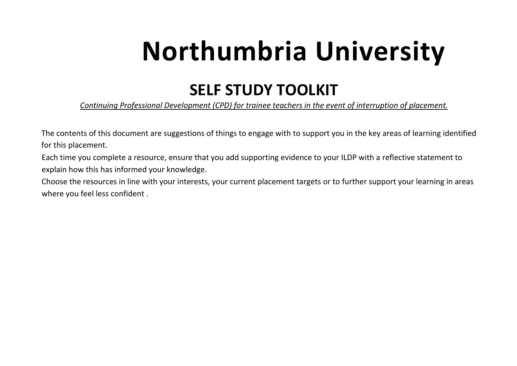# **Northumbria University**

## **SELF STUDY TOOLKIT**

*Continuing Professional Development (CPD) for trainee teachers in the event of interruption of placement.* 

The contents of this document are suggestions of things to engage with to support you in the key areas of learning identified for this placement.

Each time you complete a resource, ensure that you add supporting evidence to your ILDP with a reflective statement to explain how this has informed your knowledge.

Choose the resources in line with your interests, your current placement targets or to further support your learning in areas where you feel less confident .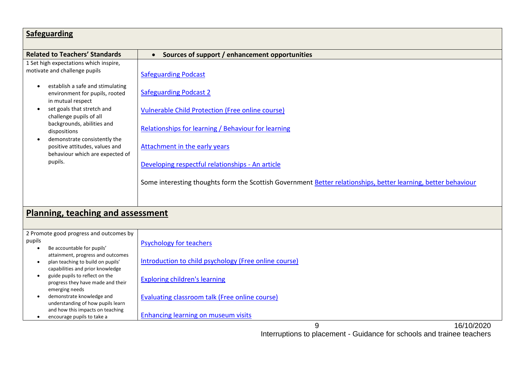| <b>Safeguarding</b>                                                                                        |                                                                                                                |  |
|------------------------------------------------------------------------------------------------------------|----------------------------------------------------------------------------------------------------------------|--|
| <b>Related to Teachers' Standards</b>                                                                      | Sources of support / enhancement opportunities<br>$\bullet$                                                    |  |
| 1 Set high expectations which inspire,<br>motivate and challenge pupils                                    | <b>Safeguarding Podcast</b>                                                                                    |  |
| establish a safe and stimulating<br>$\bullet$<br>environment for pupils, rooted<br>in mutual respect       | <b>Safeguarding Podcast 2</b>                                                                                  |  |
| set goals that stretch and<br>$\bullet$<br>challenge pupils of all                                         | <b>Vulnerable Child Protection (Free online course)</b>                                                        |  |
| backgrounds, abilities and<br>dispositions<br>demonstrate consistently the                                 | Relationships for learning / Behaviour for learning                                                            |  |
| positive attitudes, values and<br>behaviour which are expected of                                          | Attachment in the early years                                                                                  |  |
| pupils.                                                                                                    | Developing respectful relationships - An article                                                               |  |
|                                                                                                            | Some interesting thoughts form the Scottish Government Better relationships, better learning, better behaviour |  |
|                                                                                                            |                                                                                                                |  |
| <b>Planning, teaching and assessment</b>                                                                   |                                                                                                                |  |
| 2 Promote good progress and outcomes by<br>pupils<br>Be accountable for pupils'                            | <b>Psychology for teachers</b>                                                                                 |  |
| attainment, progress and outcomes<br>plan teaching to build on pupils'<br>capabilities and prior knowledge | Introduction to child psychology (Free online course)                                                          |  |

• guide pupils to reflect on the progress they have made and their emerging needs

[Exploring children's learning](https://eur02.safelinks.protection.outlook.com/?url=https%3A%2F%2Fwww.open.edu%2Fopenlearn%2Feducation%2Feducational-technology-and-practice%2Feducational-practice%2Fexploring-childrens-learning%2Fcontent-section-0%3Factive-tab%3Ddescription-tab&data=02%7C01%7Ckaren.hudson%40northumbria.ac.uk%7Cd7919f392a464fe5975a08d7e92facf1%7Ce757cfdd1f354457af8f7c9c6b1437e3%7C0%7C0%7C637234263288868819&sdata=JwfQLdmTF2xV4ddIedTDmxIvIHu%2FcBLWEDgqjdvT%2Bdo%3D&reserved=0)

[Evaluating classroom talk \(Free online course\)](https://eur02.safelinks.protection.outlook.com/?url=https%3A%2F%2Fwww.open.edu%2Fopenlearn%2Feducation%2Feducational-technology-and-practice%2Feducational-practice%2Fevaluating-school-classroom-discussion%2Fcontent-section-0%3Factive-tab%3Ddescription-tab&data=02%7C01%7Ckaren.hudson%40northumbria.ac.uk%7Ccb1ae4a69ea943c919c508d7e92f8fc5%7Ce757cfdd1f354457af8f7c9c6b1437e3%7C0%7C0%7C637234262792852726&sdata=HjRFfhTKGuWC6z2oltgsOQWI0PWSPIlbi9PYi77MOAM%3D&reserved=0)

[Enhancing learning on museum visits](https://eur02.safelinks.protection.outlook.com/?url=https%3A%2F%2Fwww.open.edu%2Fopenlearn%2Feducation%2Fenhancing-pupil-learning-on-museum-visits%2Fcontent-section-0%3Factive-tab%3Ddescription-tab&data=02%7C01%7Ckaren.hudson%40northumbria.ac.uk%7Cf6fbd36820f942f003d908d7e92f7935%7Ce757cfdd1f354457af8f7c9c6b1437e3%7C0%7C0%7C637234262420109126&sdata=SN%2BhaKkNfiD9d%2BVRAeCuLGMstG2RHDxxrO1skNYY23s%3D&reserved=0)

- demonstrate knowledge and understanding of how pupils learn and how this impacts on teaching
- encourage pupils to take a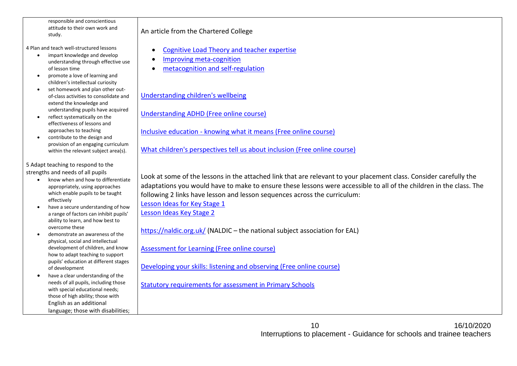responsible and conscientious attitude to their own work and study.

4 Plan and teach well-structured lessons

- impart knowledge and develop understanding through effective use of lesson time
- promote a love of learning and children's intellectual curiosity
- set homework and plan other outof-class activities to consolidate and extend the knowledge and understanding pupils have acquired
- reflect systematically on the effectiveness of lessons and approaches to teaching
- contribute to the design and provision of an engaging curriculum within the relevant subject area(s).

5 Adapt teaching to respond to the strengths and needs of all pupils

- know when and how to differentiate appropriately, using approaches which enable pupils to be taught effectively
- have a secure understanding of how a range of factors can inhibit pupils' ability to learn, and how best to overcome these
- demonstrate an awareness of the physical, social and intellectual development of children, and know how to adapt teaching to support pupils' education at different stages of development
- have a clear understanding of the needs of all pupils, including those with special educational needs; those of high ability; those with English as an additional language; those with disabilities;

An article from the Chartered College

- [Cognitive Load Theory and teacher expertise](https://impact.chartered.college/article/cognitive-load-theory-teacher-expertise-primary-teachers/)
- [Improving meta-cognition](https://impact.chartered.college/article/improving-metacognition-explicit-instruction-learning-strategies/)
- [metacognition and self-regulation](https://impact.chartered.college/article/metacognition-self-regulation-regulated-learning-difference/)

[Understanding children's wellbeing](https://eur02.safelinks.protection.outlook.com/?url=https%3A%2F%2Fwww.futurelearn.com%2Fcourses%2Fyoung-people-mental-health&data=02%7C01%7Ckaren.hudson%40northumbria.ac.uk%7C61fff5e8295a43c0d2cd08d7e93386a3%7Ce757cfdd1f354457af8f7c9c6b1437e3%7C0%7C0%7C637234279818188306&sdata=9w9gfY3usnNlqHiIn9seyON3IN%2F9%2B3DIyMWCwvgoTls%3D&reserved=0)

[Understanding ADHD \(Free online course\)](https://eur02.safelinks.protection.outlook.com/?url=https%3A%2F%2Fwww.futurelearn.com%2Fcourses%2Funderstanding-adhd&data=02%7C01%7Ckaren.hudson%40northumbria.ac.uk%7C9e1eda381dae404c608808d7e9337a5c%7Ce757cfdd1f354457af8f7c9c6b1437e3%7C0%7C0%7C637234279613655462&sdata=0%2BQN28jAnyjWBoEJLswV85JY1qez2zGQOoT7wI1dMtc%3D&reserved=0)

Inclusive education - [knowing what it means \(Free online course\)](https://eur02.safelinks.protection.outlook.com/?url=https%3A%2F%2Fwww.open.edu%2Fopenlearn%2Feducation%2Feducational-technology-and-practice%2Feducational-practice%2Finclusive-education-knowing-what-we-mean%2Fcontent-section-0%3Factive-tab%3Ddescription-tab&data=02%7C01%7Ckaren.hudson%40northumbria.ac.uk%7C6068282136b644226fe008d7e9303b9a%7Ce757cfdd1f354457af8f7c9c6b1437e3%7C0%7C0%7C637234265676889866&sdata=znPQxD2MqcFQhCm1H1U09Px0Xak%2Fvtk6Uu8b%2BRI7sv0%3D&reserved=0)

[What children's perspectives tell us about inclusion \(Free online course\)](https://eur02.safelinks.protection.outlook.com/?url=https%3A%2F%2Fwww.open.edu%2Fopenlearn%2Feducation%2Feducational-technology-and-practice%2Feducational-practice%2Fwhat-childrens-perspectives-tell-us-about-inclusion%2Fcontent-section-0%3Factive-tab%3Ddescription-tab&data=02%7C01%7Ckaren.hudson%40northumbria.ac.uk%7Cbd785549f70b415cc7f208d7e9326ef5%7Ce757cfdd1f354457af8f7c9c6b1437e3%7C0%7C0%7C637234275183161763&sdata=B%2FQQpGVsJqpGqJKZIQFz0rF1tLAaHQWZFy03owFvVJo%3D&reserved=0)

Look at some of the lessons in the attached link that are relevant to your placement class. Consider carefully the adaptations you would have to make to ensure these lessons were accessible to all of the children in the class. The following 2 links have lesson and lesson sequences across the curriculum: [Lesson Ideas for Key Stage 1](https://eur02.safelinks.protection.outlook.com/?url=https%3A%2F%2Fwww.kapowprimary.com%2Fsubjects%2Fwellbeing%2Fkey-stage-1%2F&data=02%7C01%7Ckaren.hudson%40northumbria.ac.uk%7Cb988e89fc3c34a2c599e08d7e94a8e0d%7Ce757cfdd1f354457af8f7c9c6b1437e3%7C0%7C0%7C637234378731811933&sdata=YsN5bxy9AO8kMNI85AZLQzBeEi1Pq3ibQ4Ld9UV5txM%3D&reserved=0)

[Lesson Ideas Key Stage 2](https://eur02.safelinks.protection.outlook.com/?url=https%3A%2F%2Fwww.kapowprimary.com%2Fsubjects%2Fwellbeing%2Flower-key-stage-2%2F&data=02%7C01%7Ckaren.hudson%40northumbria.ac.uk%7C1a4a9dc7ae4d4d6d66ce08d7e94a9f09%7Ce757cfdd1f354457af8f7c9c6b1437e3%7C0%7C0%7C637234379011230323&sdata=n33Ns8JD5rii8%2BaVvl1sxB%2BAvYWRj6%2BkvntoEvtOJGE%3D&reserved=0)

<https://naldic.org.uk/> (NALDIC – the national subject association for EAL)

[Assessment for Learning \(Free online course\)](https://eur02.safelinks.protection.outlook.com/?url=https%3A%2F%2Fwww.futurelearn.com%2Fcourses%2Fintroducing-assessment-for-learning&data=02%7C01%7Ckaren.hudson%40northumbria.ac.uk%7C6df7d2ec687b4d9bd9d508d7e9341b9d%7Ce757cfdd1f354457af8f7c9c6b1437e3%7C0%7C0%7C637234282317509244&sdata=%2BjaGGgIAKH%2FCgoCDltVhuz%2F9TFKNs9kvGFqiJAqOKfc%3D&reserved=0)

[Developing your skills: listening and observing \(Free online course\)](https://eur02.safelinks.protection.outlook.com/?url=https%3A%2F%2Fwww.open.edu%2Fopenlearn%2Feducation-development%2Fprimary-education-listening-and-observing%2Fcontent-section-overview%3Factive-tab%3Ddescription-tab&data=02%7C01%7Ckaren.hudson%40northumbria.ac.uk%7C0080f6a16f6743082bcc08d7e9318f3a%7Ce757cfdd1f354457af8f7c9c6b1437e3%7C0%7C0%7C637234271371105445&sdata=XOtSdstpk%2BDFnA7EoNFGyX2oqYmCs%2BSJKWHkqwvTeXI%3D&reserved=0)

[Statutory requirements for assessment in Primary Schools](https://www.gov.uk/government/organisations/standards-and-testing-agency)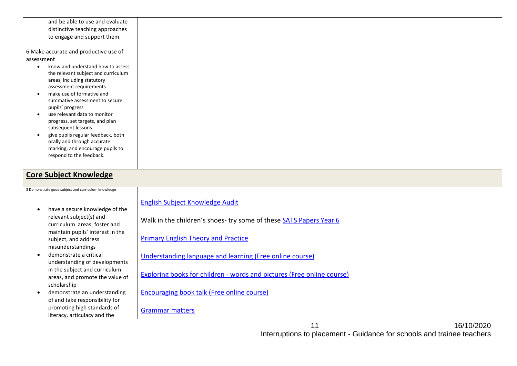and be able to use and evaluate distinctive teaching approaches to engage and support them.

6 Make accurate and productive use of assessment

- know and understand how to assess the relevant subject and curriculum areas, including statutory assessment requirements
- make use of formative and summative assessment to secure pupils' progress
- use relevant data to monitor progress, set targets, and plan subsequent lessons
- give pupils regular feedback, both orally and through accurate marking, and encourage pupils to respond to the feedback.

#### **Core Subject Knowledge**

| 3 Demonstrate good subject and curriculum knowledge                                                                           |                                                                        |
|-------------------------------------------------------------------------------------------------------------------------------|------------------------------------------------------------------------|
|                                                                                                                               | English Subject Knowledge Audit                                        |
| have a secure knowledge of the<br>relevant subject(s) and<br>curriculum areas, foster and<br>maintain pupils' interest in the | Walk in the children's shoes-try some of these SATS Papers Year 6      |
| subject, and address<br>misunderstandings                                                                                     | <b>Primary English Theory and Practice</b>                             |
| demonstrate a critical<br>understanding of developments                                                                       | Understanding language and learning (Free online course)               |
| in the subject and curriculum<br>areas, and promote the value of                                                              | Exploring books for children - words and pictures (Free online course) |
| scholarship<br>demonstrate an understanding<br>of and take responsibility for                                                 | Encouraging book talk (Free online course)                             |
| promoting high standards of<br>literacy, articulacy and the                                                                   | <b>Grammar matters</b>                                                 |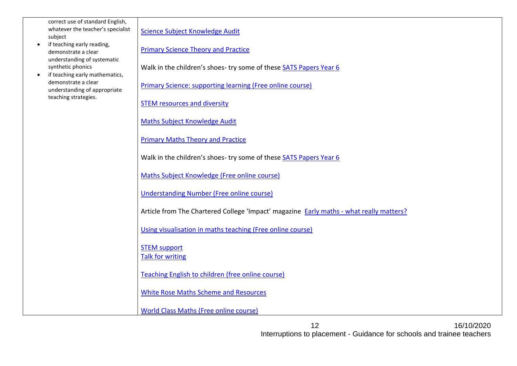correct use of standard English, whatever the teacher's specialist subject

- if teaching early reading, demonstrate a clear understanding of systematic synthetic phonics
- if teaching early mathematics, demonstrate a clear understanding of appropriate teaching strategies.

[Science Subject Knowledge Audit](https://study.sagepub.com/content/science-subject-knowledge-audit)

[Primary Science Theory and Practice](https://study.sagepub.com/achievingqts/student-resources/primary-science-teaching-theory-and-practice)

Walk in the children's shoes- try some of these [SATS Papers Year 6](https://eur02.safelinks.protection.outlook.com/?url=https%3A%2F%2Fwww.sats-papers.co.uk%2F&data=02%7C01%7Ckaren.hudson%40northumbria.ac.uk%7Cf86ec546233d4b3eb28e08d7e92e8209%7Ce757cfdd1f354457af8f7c9c6b1437e3%7C0%7C0%7C637234258314916045&sdata=ZWxWPsYkPg5ThLvNq4J5XoYzXNttCR4gDWVyLVPYt%2FA%3D&reserved=0)

[Primary Science: supporting learning \(Free online course\)](https://eur02.safelinks.protection.outlook.com/?url=https%3A%2F%2Fwww.open.edu%2Fopenlearn%2Feducation-development%2Feducation%2Fprimary-science-supporting-childrens-learning%2Fcontent-section-0%3Factive-tab%3Ddescription-tab&data=02%7C01%7Ckaren.hudson%40northumbria.ac.uk%7Caef7247270fc4a43d1f608d7e9319b4f%7Ce757cfdd1f354457af8f7c9c6b1437e3%7C0%7C0%7C637234271581461872&sdata=3hxHFlgetB8BQKaJbq6xWAtZZhtIRol4AO03c3X9F78%3D&reserved=0)

**[STEM resources and diversity](https://eur02.safelinks.protection.outlook.com/?url=https%3A%2F%2Fwww.futurelearn.com%2Fcourses%2Fstem-volunteering-resourcing-diversity&data=02%7C01%7Ckaren.hudson%40northumbria.ac.uk%7C9639f7973eec4152830d08d7e933cd1c%7Ce757cfdd1f354457af8f7c9c6b1437e3%7C0%7C0%7C637234281000237693&sdata=s6S3XzshOUtZNRO2Mz7VtMi2x1G9JPmBVkWuOJr8aNs%3D&reserved=0)** 

[Maths Subject Knowledge Audit](https://study.sagepub.com/achievingqts/student-resources/primary-mathematics-knowledge-and-understanding/subject-knowledge)

[Primary Maths Theory and Practice](https://study.sagepub.com/achievingqts/student-resources/primary-mathematics-teaching-theory-and-practice)

Walk in the children's shoes- try some of these [SATS Papers Year 6](https://eur02.safelinks.protection.outlook.com/?url=https%3A%2F%2Fwww.sats-papers.co.uk%2F&data=02%7C01%7Ckaren.hudson%40northumbria.ac.uk%7Cf86ec546233d4b3eb28e08d7e92e8209%7Ce757cfdd1f354457af8f7c9c6b1437e3%7C0%7C0%7C637234258314916045&sdata=ZWxWPsYkPg5ThLvNq4J5XoYzXNttCR4gDWVyLVPYt%2FA%3D&reserved=0)

[Maths Subject Knowledge \(Free online course\)](https://eur02.safelinks.protection.outlook.com/?url=https%3A%2F%2Fwww.futurelearn.com%2Fcourses%2Fmaths-subject-knowledge-fractions-decimals-and-percentages&data=02%7C01%7Ckaren.hudson%40northumbria.ac.uk%7C3b1cdb8017bc43514f9b08d7e933f712%7Ce757cfdd1f354457af8f7c9c6b1437e3%7C0%7C0%7C637234281709285237&sdata=pjqAiHrjGuUlr5WX%2BcAB%2FBSY9R9EAouGEpfGeId43Ug%3D&reserved=0)

[Understanding Number \(Free online course\)](https://eur02.safelinks.protection.outlook.com/?url=https%3A%2F%2Fwww.futurelearn.com%2Fcourses%2Fmaths-subject-knowledge-number&data=02%7C01%7Ckaren.hudson%40northumbria.ac.uk%7Ce164cb59dbb0412bdf0d08d7e933dd8d%7Ce757cfdd1f354457af8f7c9c6b1437e3%7C0%7C0%7C637234281311857156&sdata=4EGldwQIGEBJJ1NUrFwaU5uEV6%2F9CKHOfh5RadnWvoY%3D&reserved=0)

Article from The Chartered College 'Impact' magazine Early maths - [what really matters?](https://impact.chartered.college/article/mathematics-in-early-years/)

[Using visualisation in maths teaching \(Free online course\)](https://eur02.safelinks.protection.outlook.com/?url=https%3A%2F%2Fwww.open.edu%2Fopenlearn%2Feducation-development%2Fusing-visualisation-maths-teaching%2Fcontent-section-0%3Factive-tab%3Ddescription-tab&data=02%7C01%7Ckaren.hudson%40northumbria.ac.uk%7C3e0e37a707b543ae2a5508d7e9325add%7Ce757cfdd1f354457af8f7c9c6b1437e3%7C0%7C0%7C637234274793310269&sdata=d4vNIQjdOsDGHi4vLgjmwPohPKWMilR2czN9FXR2r%2Fg%3D&reserved=0)

[STEM support](https://www.stem.org.uk/primary/standard-3) [Talk for writing](https://eur02.safelinks.protection.outlook.com/?url=https%3A%2F%2Fwww.talk4writing.co.uk%2Fresources%2F&data=02%7C01%7Ckaren.hudson%40northumbria.ac.uk%7C52ee5e51e84d4c523d0808d7e944e816%7Ce757cfdd1f354457af8f7c9c6b1437e3%7C0%7C0%7C637234354467023816&sdata=nrLHnfxxWbxkpytcivmgss5jVN%2BwdHIASfPmU7xnhFw%3D&reserved=0)

[Teaching English to children \(free online course\)](https://eur02.safelinks.protection.outlook.com/?url=https%3A%2F%2Fwww.futurelearn.com%2Fcourses%2Fenglish-in-early-childhood&data=02%7C01%7Ckaren.hudson%40northumbria.ac.uk%7C9ff0591218f54f00b81108d7e93444dd%7Ce757cfdd1f354457af8f7c9c6b1437e3%7C0%7C0%7C637234283015210690&sdata=QaccpL0%2FeUBRMbjo4ecvDRIfp17RRkw8GHnWgmJm8Yo%3D&reserved=0)

[White Rose Maths Scheme and Resources](https://eur02.safelinks.protection.outlook.com/?url=https%3A%2F%2Fwww.google.com%2Fsearch%3Fclient%3Dsafari%26channel%3Diphone_bm%26sxsrf%3DALeKk03TG90MGMH5_G8XCcRIYr-iDI9kbA%253A1587838426830%26source%3Dhp%26ei%3D2n2kXvy-MIO7lwTc8IWICg%26q%3Dwhite%2Brose%2Bmaths%26oq%3Dwhi%26gs_lcp%3DChFtb2JpbGUtZ3dzLXdpei1ocBABGAAyBAgjECcyBQgAEJECMgQILhBDMgoIABCDARAUEIcCMgIIADIECC4QQzIFCAAQgwEyBwgAEIMBEEM6BwgjEOoCECc6BwguEOoCECc6BAgAEENQjTxY30Vg51NoAXAAeACAAcQBiAGFA5IBAzEuMpgBAKABAbABDw%26sclient%3Dmobile-gws-wiz-hp&data=02%7C01%7Ckaren.hudson%40northumbria.ac.uk%7Cfaab378865f64f902fae08d7e944aab1%7Ce757cfdd1f354457af8f7c9c6b1437e3%7C0%7C0%7C637234353437106997&sdata=%2FTUSZV%2F%2BEImLiTQ1QetRGehMiN68OV3%2FVxplkQUhDhg%3D&reserved=0)

[World Class Maths \(Free online course\)](https://eur02.safelinks.protection.outlook.com/?url=https%3A%2F%2Fwww.futurelearn.com%2Fcourses%2Fworld-class-maths-practice&data=02%7C01%7Ckaren.hudson%40northumbria.ac.uk%7C2e275b3039ab4bcce88c08d7e93439e6%7Ce757cfdd1f354457af8f7c9c6b1437e3%7C0%7C0%7C637234282821521609&sdata=4F98%2Fke6N%2B1bN%2BRnjQeO4hbsp%2FciAqEMQor4sCaN5ZA%3D&reserved=0)